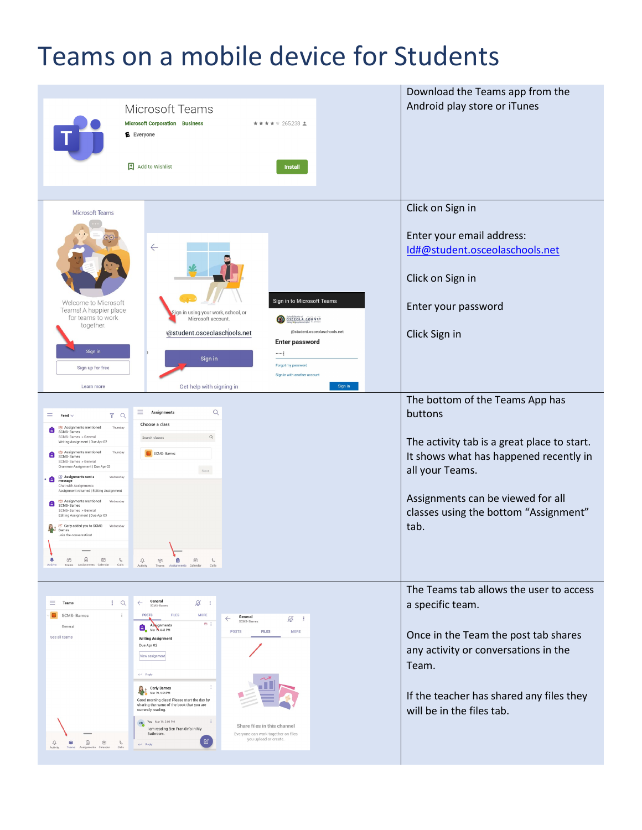## Teams on a mobile device for Students